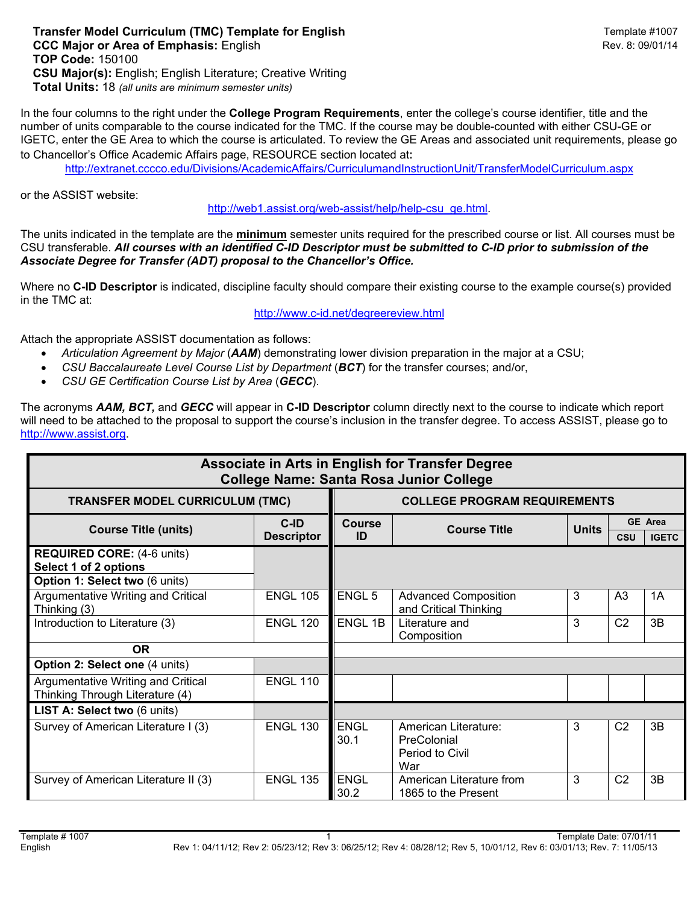**Transfer Model Curriculum (TMC) Template for English**  $\blacksquare$  **Template #1007 Template #1007 CCC Major or Area of Emphasis:** English Rev. 8: 09/01/14 **TOP Code:** 150100 **CSU Major(s):** English; English Literature; Creative Writing **Total Units:** 18 *(all units are minimum semester units)*

In the four columns to the right under the **College Program Requirements**, enter the college's course identifier, title and the number of units comparable to the course indicated for the TMC. If the course may be double-counted with either CSU-GE or IGETC, enter the GE Area to which the course is articulated. To review the GE Areas and associated unit requirements, please go to Chancellor's Office Academic Affairs page, RESOURCE section located at:

http://extranet.cccco.edu/Divisions/AcademicAffairs/CurriculumandInstructionUnit/TransferModelCurriculum.aspx

or the ASSIST website:

http://web1.assist.org/web-assist/help/help-csu\_ge.html.

The units indicated in the template are the **minimum** semester units required for the prescribed course or list. All courses must be CSU transferable. *All courses with an identified C-ID Descriptor must be submitted to C-ID prior to submission of the Associate Degree for Transfer (ADT) proposal to the Chancellor's Office.*

Where no **C-ID Descriptor** is indicated, discipline faculty should compare their existing course to the example course(s) provided in the TMC at:

http://www.c-id.net/degreereview.html

Attach the appropriate ASSIST documentation as follows:

- *Articulation Agreement by Major* (*AAM*) demonstrating lower division preparation in the major at a CSU;
- *CSU Baccalaureate Level Course List by Department* (*BCT*) for the transfer courses; and/or,
- *CSU GE Certification Course List by Area* (*GECC*).

The acronyms *AAM, BCT,* and *GECC* will appear in **C-ID Descriptor** column directly next to the course to indicate which report will need to be attached to the proposal to support the course's inclusion in the transfer degree. To access ASSIST, please go to http://www.assist.org.

| Associate in Arts in English for Transfer Degree<br><b>College Name: Santa Rosa Junior College</b> |                              |                                     |                                                               |              |                |                                |  |  |  |
|----------------------------------------------------------------------------------------------------|------------------------------|-------------------------------------|---------------------------------------------------------------|--------------|----------------|--------------------------------|--|--|--|
| <b>TRANSFER MODEL CURRICULUM (TMC)</b>                                                             |                              | <b>COLLEGE PROGRAM REQUIREMENTS</b> |                                                               |              |                |                                |  |  |  |
| <b>Course Title (units)</b>                                                                        | $C$ -ID<br><b>Descriptor</b> | <b>Course</b><br>ID                 | <b>Course Title</b>                                           | <b>Units</b> | <b>CSU</b>     | <b>GE Area</b><br><b>IGETC</b> |  |  |  |
| <b>REQUIRED CORE: (4-6 units)</b><br>Select 1 of 2 options<br>Option 1: Select two (6 units)       |                              |                                     |                                                               |              |                |                                |  |  |  |
| Argumentative Writing and Critical<br>Thinking (3)                                                 | <b>ENGL 105</b>              | <b>ENGL 5</b>                       | <b>Advanced Composition</b><br>and Critical Thinking          | 3            | A <sub>3</sub> | 1A                             |  |  |  |
| Introduction to Literature (3)                                                                     | <b>ENGL 120</b>              | <b>ENGL 1B</b>                      | Literature and<br>Composition                                 | 3            | C <sub>2</sub> | 3B                             |  |  |  |
| OR.                                                                                                |                              |                                     |                                                               |              |                |                                |  |  |  |
| Option 2: Select one (4 units)                                                                     |                              |                                     |                                                               |              |                |                                |  |  |  |
| Argumentative Writing and Critical<br>Thinking Through Literature (4)                              | <b>ENGL 110</b>              |                                     |                                                               |              |                |                                |  |  |  |
| LIST A: Select two (6 units)                                                                       |                              |                                     |                                                               |              |                |                                |  |  |  |
| Survey of American Literature I (3)                                                                | <b>ENGL 130</b>              | <b>ENGL</b><br>30.1                 | American Literature:<br>PreColonial<br>Period to Civil<br>War | 3            | C <sub>2</sub> | 3B                             |  |  |  |
| Survey of American Literature II (3)                                                               | <b>ENGL 135</b>              | <b>ENGL</b><br>30.2                 | American Literature from<br>1865 to the Present               | 3            | C <sub>2</sub> | 3B                             |  |  |  |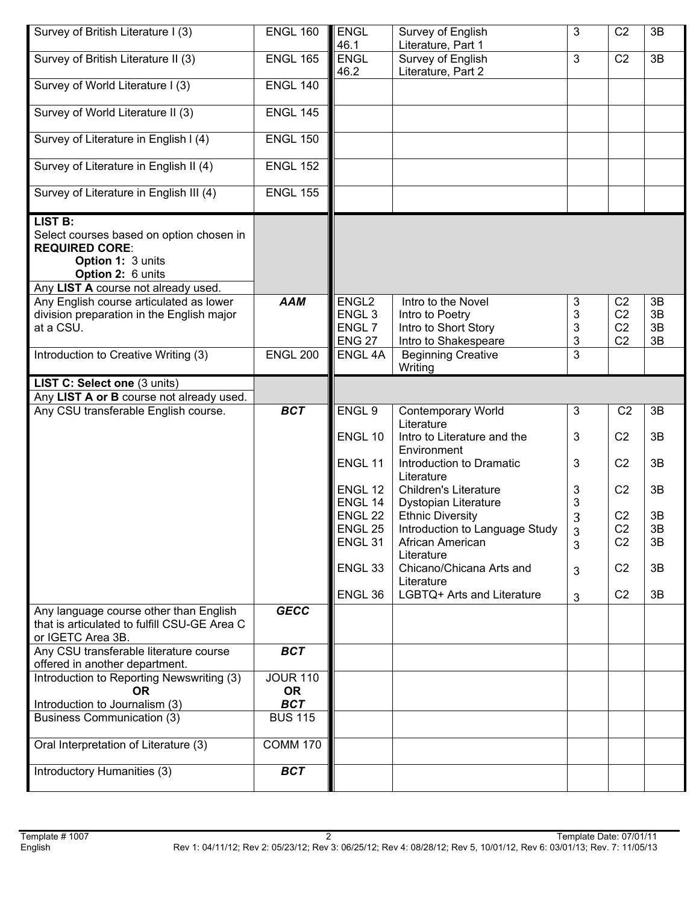| Survey of British Literature I (3)                                                                                                                                   | <b>ENGL 160</b>               | <b>ENGL</b><br>46.1                                                          | Survey of English<br>Literature, Part 1                                               | $\mathfrak{S}$   | C <sub>2</sub>                                                       | 3B                   |
|----------------------------------------------------------------------------------------------------------------------------------------------------------------------|-------------------------------|------------------------------------------------------------------------------|---------------------------------------------------------------------------------------|------------------|----------------------------------------------------------------------|----------------------|
| Survey of British Literature II (3)                                                                                                                                  | <b>ENGL 165</b>               | <b>ENGL</b><br>46.2                                                          | Survey of English<br>Literature, Part 2                                               | $\overline{3}$   | C <sub>2</sub>                                                       | 3B                   |
| Survey of World Literature I (3)                                                                                                                                     | <b>ENGL 140</b>               |                                                                              |                                                                                       |                  |                                                                      |                      |
| Survey of World Literature II (3)                                                                                                                                    | <b>ENGL 145</b>               |                                                                              |                                                                                       |                  |                                                                      |                      |
| Survey of Literature in English I (4)                                                                                                                                | <b>ENGL 150</b>               |                                                                              |                                                                                       |                  |                                                                      |                      |
| Survey of Literature in English II (4)                                                                                                                               | <b>ENGL 152</b>               |                                                                              |                                                                                       |                  |                                                                      |                      |
| Survey of Literature in English III (4)                                                                                                                              | <b>ENGL 155</b>               |                                                                              |                                                                                       |                  |                                                                      |                      |
| <b>LIST B:</b><br>Select courses based on option chosen in<br><b>REQUIRED CORE:</b><br>Option 1: 3 units<br>Option 2: 6 units<br>Any LIST A course not already used. |                               |                                                                              |                                                                                       |                  |                                                                      |                      |
| Any English course articulated as lower<br>division preparation in the English major<br>at a CSU.                                                                    | <b>AAM</b>                    | ENGL <sub>2</sub><br>ENGL <sub>3</sub><br>ENGL <sub>7</sub><br><b>ENG 27</b> | Intro to the Novel<br>Intro to Poetry<br>Intro to Short Story<br>Intro to Shakespeare | 3<br>3<br>3<br>3 | C <sub>2</sub><br>C <sub>2</sub><br>C <sub>2</sub><br>C <sub>2</sub> | 3B<br>3B<br>3B<br>3B |
| Introduction to Creative Writing (3)                                                                                                                                 | <b>ENGL 200</b>               | ENGL 4A                                                                      | <b>Beginning Creative</b><br>Writing                                                  | 3                |                                                                      |                      |
| LIST C: Select one (3 units)                                                                                                                                         |                               |                                                                              |                                                                                       |                  |                                                                      |                      |
| Any LIST A or B course not already used.                                                                                                                             |                               |                                                                              |                                                                                       |                  |                                                                      |                      |
|                                                                                                                                                                      |                               |                                                                              |                                                                                       |                  |                                                                      |                      |
| Any CSU transferable English course.                                                                                                                                 | <b>BCT</b>                    | ENGL 9                                                                       | <b>Contemporary World</b>                                                             | $\mathbf{3}$     | C <sub>2</sub>                                                       | 3B                   |
|                                                                                                                                                                      |                               | ENGL 10                                                                      | Literature<br>Intro to Literature and the                                             | 3                | C <sub>2</sub>                                                       | 3B                   |
|                                                                                                                                                                      |                               | ENGL 11                                                                      | Environment<br>Introduction to Dramatic                                               | 3                | C <sub>2</sub>                                                       | 3B                   |
|                                                                                                                                                                      |                               |                                                                              | Literature                                                                            |                  |                                                                      |                      |
|                                                                                                                                                                      |                               | ENGL 12<br>ENGL 14                                                           | <b>Children's Literature</b>                                                          | 3<br>3           | C <sub>2</sub>                                                       | 3B                   |
|                                                                                                                                                                      |                               | ENGL <sub>22</sub>                                                           | Dystopian Literature<br><b>Ethnic Diversity</b>                                       | 3                | C <sub>2</sub>                                                       | 3B                   |
|                                                                                                                                                                      |                               | ENGL 25                                                                      | Introduction to Language Study                                                        | 3                | C <sub>2</sub>                                                       | 3B                   |
|                                                                                                                                                                      |                               | ENGL <sub>31</sub>                                                           | African American<br>Literature                                                        | 3                | C <sub>2</sub>                                                       | 3B                   |
|                                                                                                                                                                      |                               | ENGL <sub>33</sub>                                                           | Chicano/Chicana Arts and<br>Literature                                                | 3                | C <sub>2</sub>                                                       | 3B                   |
|                                                                                                                                                                      |                               | ENGL 36                                                                      | LGBTQ+ Arts and Literature                                                            | $\mathfrak{B}$   | C <sub>2</sub>                                                       | 3B                   |
| Any language course other than English<br>that is articulated to fulfill CSU-GE Area C<br>or IGETC Area 3B.                                                          | <b>GECC</b>                   |                                                                              |                                                                                       |                  |                                                                      |                      |
| Any CSU transferable literature course<br>offered in another department.                                                                                             | <b>BCT</b>                    |                                                                              |                                                                                       |                  |                                                                      |                      |
| Introduction to Reporting Newswriting (3)<br><b>OR</b>                                                                                                               | <b>JOUR 110</b><br><b>OR</b>  |                                                                              |                                                                                       |                  |                                                                      |                      |
| Introduction to Journalism (3)                                                                                                                                       | <b>BCT</b>                    |                                                                              |                                                                                       |                  |                                                                      |                      |
| <b>Business Communication (3)</b>                                                                                                                                    | <b>BUS 115</b>                |                                                                              |                                                                                       |                  |                                                                      |                      |
| Oral Interpretation of Literature (3)<br>Introductory Humanities (3)                                                                                                 | <b>COMM 170</b><br><b>BCT</b> |                                                                              |                                                                                       |                  |                                                                      |                      |